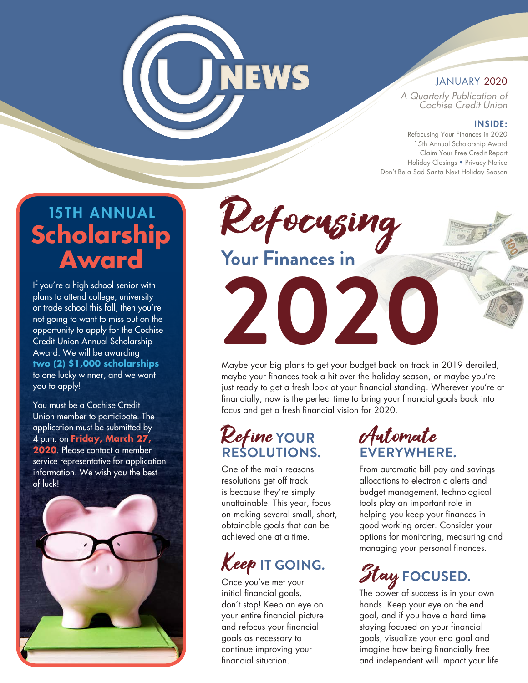# **JNEWS**

### JANUARY 2020

A Quarterly Publication of Cochise Credit Union

#### INSIDE:

Refocusing Your Finances in 2020 15th Annual Scholarship Award Claim Your Free Credit Report Holiday Closings • Privacy Notice Don't Be a Sad Santa Next Holiday Season

## 15TH ANNUAL **Scholarship Award**

If you're a high school senior with plans to attend college, university or trade school this fall, then you're not going to want to miss out on the opportunity to apply for the Cochise Credit Union Annual Scholarship Award. We will be awarding **two (2) \$1,000 scholarships** to one lucky winner, and we want you to apply!

You must be a Cochise Credit Union member to participate. The application must be submitted by 4 p.m. on **Friday, March 27, 2020**. Please contact a member service representative for application information. We wish you the best of luck!



Refocusing **Your Finances in**

**2020**

Maybe your big plans to get your budget back on track in 2019 derailed, maybe your finances took a hit over the holiday season, or maybe you're just ready to get a fresh look at your financial standing. Wherever you're at financially, now is the perfect time to bring your financial goals back into focus and get a fresh financial vision for 2020.

## Refine **YOUR RESOLUTIONS.**

One of the main reasons resolutions get off track is because they're simply unattainable. This year, focus on making several small, short, obtainable goals that can be achieved one at a time.

## Keep **IT GOING.**

Once you've met your initial financial goals, don't stop! Keep an eye on your entire financial picture and refocus your financial goals as necessary to continue improving your financial situation.

## Automate **EVERYWHERE.**

From automatic bill pay and savings allocations to electronic alerts and budget management, technological tools play an important role in helping you keep your finances in good working order. Consider your options for monitoring, measuring and managing your personal finances.

## Stay **FOCUSED.**

The power of success is in your own hands. Keep your eye on the end goal, and if you have a hard time staying focused on your financial goals, visualize your end goal and imagine how being financially free and independent will impact your life.